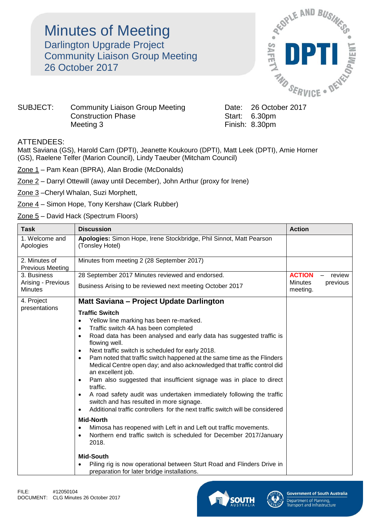## **Minutes of Meeting** Darlington Upgrade Project Community Liaison Group Meeting 26 October 2017



## SUBJECT: Community Liaison Group Meeting Date: 26 October 2017 Construction Phase Start: 6.30pm Meeting 3 Finish: 8.30pm

## ATTENDEES:

Matt Saviana (GS), Harold Carn (DPTI), Jeanette Koukouro (DPTI), Matt Leek (DPTI), Amie Horner (GS), Raelene Telfer (Marion Council), Lindy Taeuber (Mitcham Council)

- Zone 1 Pam Kean (BPRA), Alan Brodie (McDonalds)
- Zone 2 Darryl Ottewill (away until December), John Arthur (proxy for Irene)
- Zone 3 –Cheryl Whalan, Suzi Morphett,
- Zone 4 Simon Hope, Tony Kershaw (Clark Rubber)
- Zone 5 David Hack (Spectrum Floors)

| <b>Task</b>                              | <b>Discussion</b>                                                                                                                                                       | <b>Action</b>                                     |
|------------------------------------------|-------------------------------------------------------------------------------------------------------------------------------------------------------------------------|---------------------------------------------------|
| 1. Welcome and<br>Apologies              | Apologies: Simon Hope, Irene Stockbridge, Phil Sinnot, Matt Pearson<br>(Tonsley Hotel)                                                                                  |                                                   |
| 2. Minutes of<br><b>Previous Meeting</b> | Minutes from meeting 2 (28 September 2017)                                                                                                                              |                                                   |
| 3. Business                              | 28 September 2017 Minutes reviewed and endorsed.                                                                                                                        | <b>ACTION</b><br>review<br>$\qquad \qquad \qquad$ |
| Arising - Previous<br><b>Minutes</b>     | Business Arising to be reviewed next meeting October 2017                                                                                                               | <b>Minutes</b><br>previous<br>meeting.            |
| 4. Project                               | Matt Saviana - Project Update Darlington                                                                                                                                |                                                   |
| presentations                            | <b>Traffic Switch</b>                                                                                                                                                   |                                                   |
|                                          | Yellow line marking has been re-marked.<br>$\bullet$                                                                                                                    |                                                   |
|                                          | Traffic switch 4A has been completed                                                                                                                                    |                                                   |
|                                          | Road data has been analysed and early data has suggested traffic is<br>flowing well.                                                                                    |                                                   |
|                                          | Next traffic switch is scheduled for early 2018.<br>$\bullet$                                                                                                           |                                                   |
|                                          | Pam noted that traffic switch happened at the same time as the Flinders<br>Medical Centre open day; and also acknowledged that traffic control did<br>an excellent job. |                                                   |
|                                          | Pam also suggested that insufficient signage was in place to direct<br>$\bullet$<br>traffic.                                                                            |                                                   |
|                                          | A road safety audit was undertaken immediately following the traffic<br>switch and has resulted in more signage.                                                        |                                                   |
|                                          | Additional traffic controllers for the next traffic switch will be considered<br>$\bullet$                                                                              |                                                   |
|                                          | <b>Mid-North</b>                                                                                                                                                        |                                                   |
|                                          | Mimosa has reopened with Left in and Left out traffic movements.<br>$\bullet$                                                                                           |                                                   |
|                                          | Northern end traffic switch is scheduled for December 2017/January<br>2018.                                                                                             |                                                   |
|                                          | <b>Mid-South</b>                                                                                                                                                        |                                                   |
|                                          | Piling rig is now operational between Sturt Road and Flinders Drive in<br>preparation for later bridge installations.                                                   |                                                   |



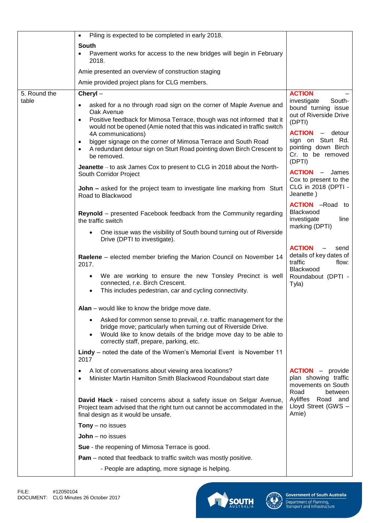|              | Piling is expected to be completed in early 2018.<br>$\bullet$                                                                                                                                                                                                               |                                                                                          |
|--------------|------------------------------------------------------------------------------------------------------------------------------------------------------------------------------------------------------------------------------------------------------------------------------|------------------------------------------------------------------------------------------|
|              | South                                                                                                                                                                                                                                                                        |                                                                                          |
|              | Pavement works for access to the new bridges will begin in February<br>2018.                                                                                                                                                                                                 |                                                                                          |
|              | Amie presented an overview of construction staging                                                                                                                                                                                                                           |                                                                                          |
|              | Amie provided project plans for CLG members.                                                                                                                                                                                                                                 |                                                                                          |
| 5. Round the | Cheryl-                                                                                                                                                                                                                                                                      | <b>ACTION</b>                                                                            |
| table        | asked for a no through road sign on the corner of Maple Avenue and<br>Oak Avenue<br>Positive feedback for Mimosa Terrace, though was not informed that it                                                                                                                    | South-<br>investigate<br>bound turning issue<br>out of Riverside Drive<br>(DPTI)         |
|              | would not be opened (Amie noted that this was indicated in traffic switch<br>4A communications)                                                                                                                                                                              | <b>ACTION</b><br>- detour                                                                |
|              | bigger signage on the corner of Mimosa Terrace and South Road<br>A redundant detour sign on Sturt Road pointing down Birch Crescent to<br>be removed.                                                                                                                        | sign on Sturt Rd.<br>pointing down Birch<br>Cr. to be removed<br>(DPTI)                  |
|              | Jeanette – to ask James Cox to present to CLG in 2018 about the North-<br>South Corridor Project                                                                                                                                                                             | <b>ACTION</b><br>- James<br>Cox to present to the                                        |
|              | <b>John –</b> asked for the project team to investigate line marking from Sturt<br>Road to Blackwood                                                                                                                                                                         | CLG in 2018 (DPTI -<br>Jeanette)                                                         |
|              | Reynold - presented Facebook feedback from the Community regarding<br>the traffic switch                                                                                                                                                                                     | <b>ACTION</b> -Road to<br>Blackwood<br>investigate<br>line<br>marking (DPTI)             |
|              | One issue was the visibility of South bound turning out of Riverside<br>Drive (DPTI to investigate).                                                                                                                                                                         |                                                                                          |
|              | Raelene - elected member briefing the Marion Council on November 14<br>2017.                                                                                                                                                                                                 | <b>ACTION</b><br>send<br>details of key dates of<br>traffic<br>flow:<br>Blackwood        |
|              | We are working to ensure the new Tonsley Precinct is well<br>connected, r.e. Birch Crescent.<br>This includes pedestrian, car and cycling connectivity.                                                                                                                      | Roundabout (DPTI -<br>Tyla)                                                              |
|              | <b>Alan</b> – would like to know the bridge move date.                                                                                                                                                                                                                       |                                                                                          |
|              | Asked for common sense to prevail, r.e. traffic management for the<br>$\bullet$<br>bridge move; particularly when turning out of Riverside Drive.<br>Would like to know details of the bridge move day to be able to<br>$\bullet$<br>correctly staff, prepare, parking, etc. |                                                                                          |
|              | Lindy - noted the date of the Women's Memorial Event is November 11<br>2017                                                                                                                                                                                                  |                                                                                          |
|              | A lot of conversations about viewing area locations?<br>٠<br>Minister Martin Hamilton Smith Blackwood Roundabout start date                                                                                                                                                  | <b>ACTION</b> - provide<br>plan showing traffic<br>movements on South<br>Road<br>between |
|              | David Hack - raised concerns about a safety issue on Selgar Avenue,<br>Project team advised that the right turn out cannot be accommodated in the<br>final design as it would be unsafe.                                                                                     | Ayliffes Road and<br>Lloyd Street (GWS -<br>Amie)                                        |
|              | <b>Tony</b> $-$ no issues                                                                                                                                                                                                                                                    |                                                                                          |
|              | $John - no$ issues                                                                                                                                                                                                                                                           |                                                                                          |
|              | Sue - the reopening of Mimosa Terrace is good.                                                                                                                                                                                                                               |                                                                                          |
|              | <b>Pam</b> – noted that feedback to traffic switch was mostly positive.                                                                                                                                                                                                      |                                                                                          |
|              | - People are adapting, more signage is helping.                                                                                                                                                                                                                              |                                                                                          |



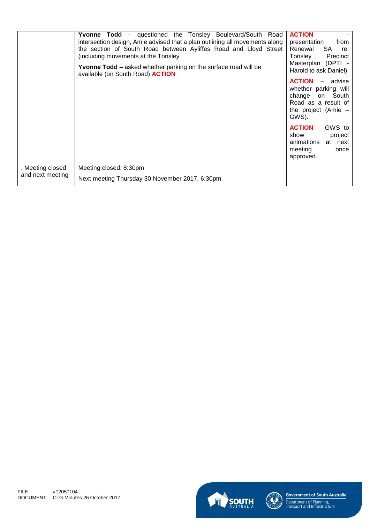|                                      | Yvonne Todd - questioned the Tonsley Boulevard/South Road<br>intersection design, Amie advised that a plan outlining all movements along<br>the section of South Road between Ayliffes Road and Lloyd Street<br>(including movements at the Tonsley<br><b>Yvonne Todd</b> – asked whether parking on the surface road will be<br>available (on South Road) <b>ACTION</b> | <b>ACTION</b><br>from<br>presentation<br>Renewal<br><b>SA</b><br>re:<br>Precinct<br>Tonsley<br>Masterplan (DPTI -<br>Harold to ask Daniel). |
|--------------------------------------|--------------------------------------------------------------------------------------------------------------------------------------------------------------------------------------------------------------------------------------------------------------------------------------------------------------------------------------------------------------------------|---------------------------------------------------------------------------------------------------------------------------------------------|
|                                      |                                                                                                                                                                                                                                                                                                                                                                          | <b>ACTION</b><br>- advise<br>whether parking will<br>change on South<br>Road as a result of<br>the project (Amie $-$<br>GWS).               |
|                                      |                                                                                                                                                                                                                                                                                                                                                                          | <b>ACTION</b> – GWS to<br>project<br>show<br>animations at next<br>meeting<br>once<br>approved.                                             |
| . Meeting closed<br>and next meeting | Meeting closed: 8:30pm                                                                                                                                                                                                                                                                                                                                                   |                                                                                                                                             |
|                                      | Next meeting Thursday 30 November 2017, 6:30pm                                                                                                                                                                                                                                                                                                                           |                                                                                                                                             |





**Government of South Australia**